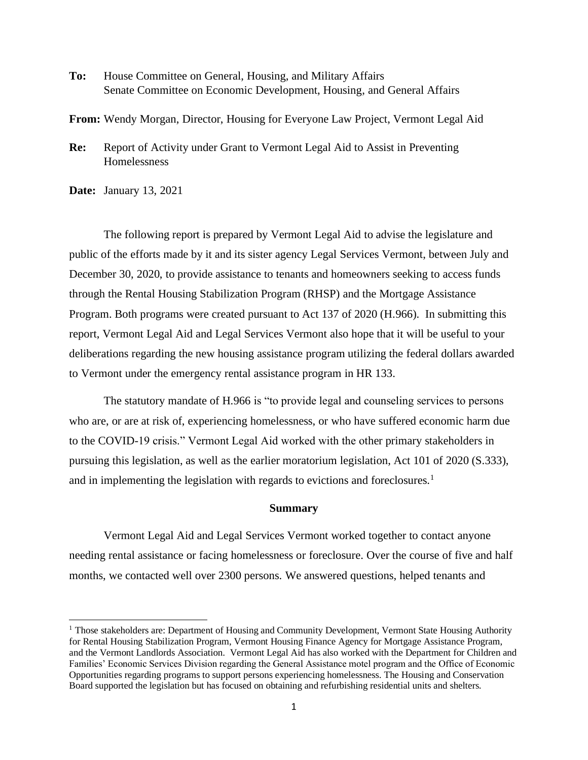**To:** House Committee on General, Housing, and Military Affairs Senate Committee on Economic Development, Housing, and General Affairs

**From:** Wendy Morgan, Director, Housing for Everyone Law Project, Vermont Legal Aid

**Re:** Report of Activity under Grant to Vermont Legal Aid to Assist in Preventing Homelessness

**Date:** January 13, 2021

The following report is prepared by Vermont Legal Aid to advise the legislature and public of the efforts made by it and its sister agency Legal Services Vermont, between July and December 30, 2020, to provide assistance to tenants and homeowners seeking to access funds through the Rental Housing Stabilization Program (RHSP) and the Mortgage Assistance Program. Both programs were created pursuant to Act 137 of 2020 (H.966). In submitting this report, Vermont Legal Aid and Legal Services Vermont also hope that it will be useful to your deliberations regarding the new housing assistance program utilizing the federal dollars awarded to Vermont under the emergency rental assistance program in HR 133.

The statutory mandate of H.966 is "to provide legal and counseling services to persons who are, or are at risk of, experiencing homelessness, or who have suffered economic harm due to the COVID-19 crisis." Vermont Legal Aid worked with the other primary stakeholders in pursuing this legislation, as well as the earlier moratorium legislation, Act 101 of 2020 (S.333), and in implementing the legislation with regards to evictions and foreclosures.<sup>1</sup>

#### **Summary**

Vermont Legal Aid and Legal Services Vermont worked together to contact anyone needing rental assistance or facing homelessness or foreclosure. Over the course of five and half months, we contacted well over 2300 persons. We answered questions, helped tenants and

<sup>&</sup>lt;sup>1</sup> Those stakeholders are: Department of Housing and Community Development, Vermont State Housing Authority for Rental Housing Stabilization Program, Vermont Housing Finance Agency for Mortgage Assistance Program, and the Vermont Landlords Association. Vermont Legal Aid has also worked with the Department for Children and Families' Economic Services Division regarding the General Assistance motel program and the Office of Economic Opportunities regarding programs to support persons experiencing homelessness. The Housing and Conservation Board supported the legislation but has focused on obtaining and refurbishing residential units and shelters.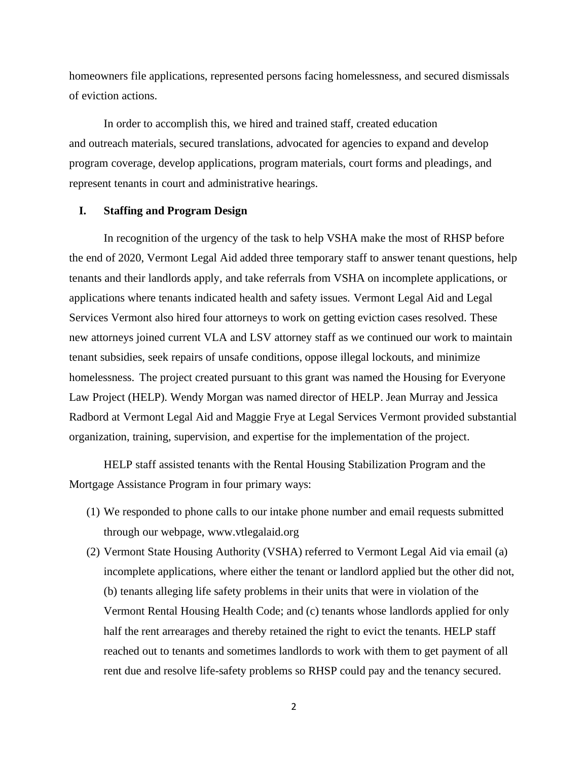homeowners file applications, represented persons facing homelessness, and secured dismissals of eviction actions.

In order to accomplish this, we hired and trained staff, created education and outreach materials, secured translations, advocated for agencies to expand and develop program coverage, develop applications, program materials, court forms and pleadings, and represent tenants in court and administrative hearings.

#### **I. Staffing and Program Design**

In recognition of the urgency of the task to help VSHA make the most of RHSP before the end of 2020, Vermont Legal Aid added three temporary staff to answer tenant questions, help tenants and their landlords apply, and take referrals from VSHA on incomplete applications, or applications where tenants indicated health and safety issues. Vermont Legal Aid and Legal Services Vermont also hired four attorneys to work on getting eviction cases resolved. These new attorneys joined current VLA and LSV attorney staff as we continued our work to maintain tenant subsidies, seek repairs of unsafe conditions, oppose illegal lockouts, and minimize homelessness. The project created pursuant to this grant was named the Housing for Everyone Law Project (HELP). Wendy Morgan was named director of HELP. Jean Murray and Jessica Radbord at Vermont Legal Aid and Maggie Frye at Legal Services Vermont provided substantial organization, training, supervision, and expertise for the implementation of the project.

HELP staff assisted tenants with the Rental Housing Stabilization Program and the Mortgage Assistance Program in four primary ways:

- (1) We responded to phone calls to our intake phone number and email requests submitted through our webpage, www.vtlegalaid.org
- (2) Vermont State Housing Authority (VSHA) referred to Vermont Legal Aid via email (a) incomplete applications, where either the tenant or landlord applied but the other did not, (b) tenants alleging life safety problems in their units that were in violation of the Vermont Rental Housing Health Code; and (c) tenants whose landlords applied for only half the rent arrearages and thereby retained the right to evict the tenants. HELP staff reached out to tenants and sometimes landlords to work with them to get payment of all rent due and resolve life-safety problems so RHSP could pay and the tenancy secured.

2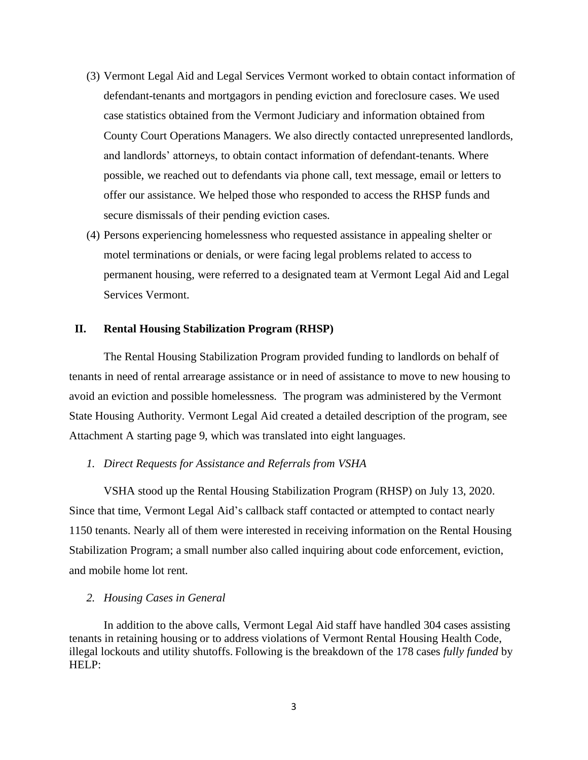- (3) Vermont Legal Aid and Legal Services Vermont worked to obtain contact information of defendant-tenants and mortgagors in pending eviction and foreclosure cases. We used case statistics obtained from the Vermont Judiciary and information obtained from County Court Operations Managers. We also directly contacted unrepresented landlords, and landlords' attorneys, to obtain contact information of defendant-tenants. Where possible, we reached out to defendants via phone call, text message, email or letters to offer our assistance. We helped those who responded to access the RHSP funds and secure dismissals of their pending eviction cases.
- (4) Persons experiencing homelessness who requested assistance in appealing shelter or motel terminations or denials, or were facing legal problems related to access to permanent housing, were referred to a designated team at Vermont Legal Aid and Legal Services Vermont.

#### **II. Rental Housing Stabilization Program (RHSP)**

The Rental Housing Stabilization Program provided funding to landlords on behalf of tenants in need of rental arrearage assistance or in need of assistance to move to new housing to avoid an eviction and possible homelessness. The program was administered by the Vermont State Housing Authority. Vermont Legal Aid created a detailed description of the program, see Attachment A starting page 9, which was translated into eight languages.

#### *1. Direct Requests for Assistance and Referrals from VSHA*

VSHA stood up the Rental Housing Stabilization Program (RHSP) on July 13, 2020. Since that time, Vermont Legal Aid's callback staff contacted or attempted to contact nearly 1150 tenants. Nearly all of them were interested in receiving information on the Rental Housing Stabilization Program; a small number also called inquiring about code enforcement, eviction, and mobile home lot rent.

#### *2. Housing Cases in General*

In addition to the above calls, Vermont Legal Aid staff have handled 304 cases assisting tenants in retaining housing or to address violations of Vermont Rental Housing Health Code, illegal lockouts and utility shutoffs. Following is the breakdown of the 178 cases *fully funded* by HELP: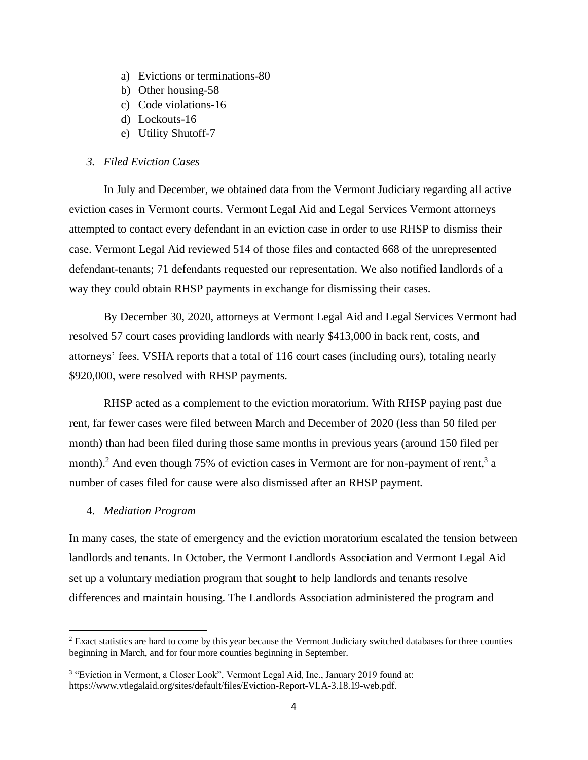- a) Evictions or terminations-80
- b) Other housing-58
- c) Code violations-16
- d) Lockouts-16
- e) Utility Shutoff-7

#### *3. Filed Eviction Cases*

In July and December, we obtained data from the Vermont Judiciary regarding all active eviction cases in Vermont courts. Vermont Legal Aid and Legal Services Vermont attorneys attempted to contact every defendant in an eviction case in order to use RHSP to dismiss their case. Vermont Legal Aid reviewed 514 of those files and contacted 668 of the unrepresented defendant-tenants; 71 defendants requested our representation. We also notified landlords of a way they could obtain RHSP payments in exchange for dismissing their cases.

By December 30, 2020, attorneys at Vermont Legal Aid and Legal Services Vermont had resolved 57 court cases providing landlords with nearly \$413,000 in back rent, costs, and attorneys' fees. VSHA reports that a total of 116 court cases (including ours), totaling nearly \$920,000, were resolved with RHSP payments.

RHSP acted as a complement to the eviction moratorium. With RHSP paying past due rent, far fewer cases were filed between March and December of 2020 (less than 50 filed per month) than had been filed during those same months in previous years (around 150 filed per month).<sup>2</sup> And even though 75% of eviction cases in Vermont are for non-payment of rent,<sup>3</sup> a number of cases filed for cause were also dismissed after an RHSP payment.

#### 4. *Mediation Program*

In many cases, the state of emergency and the eviction moratorium escalated the tension between landlords and tenants. In October, the Vermont Landlords Association and Vermont Legal Aid set up a voluntary mediation program that sought to help landlords and tenants resolve differences and maintain housing. The Landlords Association administered the program and

<sup>2</sup> Exact statistics are hard to come by this year because the Vermont Judiciary switched databases for three counties beginning in March, and for four more counties beginning in September.

<sup>&</sup>lt;sup>3</sup> "Eviction in Vermont, a Closer Look", Vermont Legal Aid, Inc., January 2019 found at: https://www.vtlegalaid.org/sites/default/files/Eviction-Report-VLA-3.18.19-web.pdf.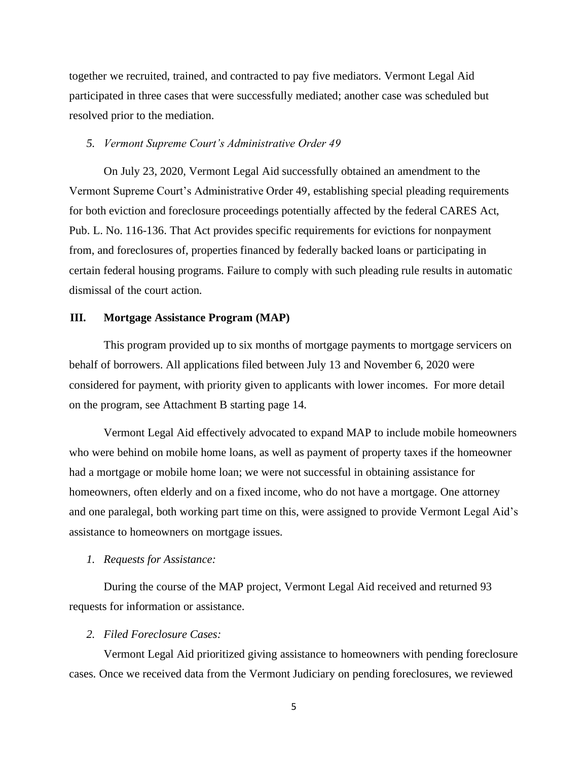together we recruited, trained, and contracted to pay five mediators. Vermont Legal Aid participated in three cases that were successfully mediated; another case was scheduled but resolved prior to the mediation.

#### *5. Vermont Supreme Court's Administrative Order 49*

On July 23, 2020, Vermont Legal Aid successfully obtained an amendment to the Vermont Supreme Court's Administrative Order 49, establishing special pleading requirements for both eviction and foreclosure proceedings potentially affected by the federal CARES Act, Pub. L. No. 116-136. That Act provides specific requirements for evictions for nonpayment from, and foreclosures of, properties financed by federally backed loans or participating in certain federal housing programs. Failure to comply with such pleading rule results in automatic dismissal of the court action.

#### **III. Mortgage Assistance Program (MAP)**

This program provided up to six months of mortgage payments to mortgage servicers on behalf of borrowers. All applications filed between July 13 and November 6, 2020 were considered for payment, with priority given to applicants with lower incomes. For more detail on the program, see Attachment B starting page 14.

Vermont Legal Aid effectively advocated to expand MAP to include mobile homeowners who were behind on mobile home loans, as well as payment of property taxes if the homeowner had a mortgage or mobile home loan; we were not successful in obtaining assistance for homeowners, often elderly and on a fixed income, who do not have a mortgage. One attorney and one paralegal, both working part time on this, were assigned to provide Vermont Legal Aid's assistance to homeowners on mortgage issues.

#### *1. Requests for Assistance:*

During the course of the MAP project, Vermont Legal Aid received and returned 93 requests for information or assistance.

#### *2. Filed Foreclosure Cases:*

Vermont Legal Aid prioritized giving assistance to homeowners with pending foreclosure cases. Once we received data from the Vermont Judiciary on pending foreclosures, we reviewed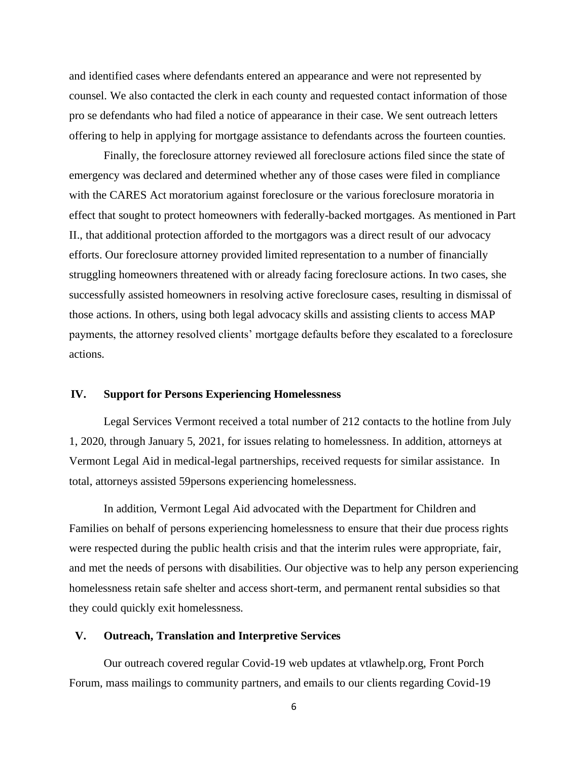and identified cases where defendants entered an appearance and were not represented by counsel. We also contacted the clerk in each county and requested contact information of those pro se defendants who had filed a notice of appearance in their case. We sent outreach letters offering to help in applying for mortgage assistance to defendants across the fourteen counties.

Finally, the foreclosure attorney reviewed all foreclosure actions filed since the state of emergency was declared and determined whether any of those cases were filed in compliance with the CARES Act moratorium against foreclosure or the various foreclosure moratoria in effect that sought to protect homeowners with federally-backed mortgages. As mentioned in Part II., that additional protection afforded to the mortgagors was a direct result of our advocacy efforts. Our foreclosure attorney provided limited representation to a number of financially struggling homeowners threatened with or already facing foreclosure actions. In two cases, she successfully assisted homeowners in resolving active foreclosure cases, resulting in dismissal of those actions. In others, using both legal advocacy skills and assisting clients to access MAP payments, the attorney resolved clients' mortgage defaults before they escalated to a foreclosure actions.

#### **IV. Support for Persons Experiencing Homelessness**

Legal Services Vermont received a total number of 212 contacts to the hotline from July 1, 2020, through January 5, 2021, for issues relating to homelessness. In addition, attorneys at Vermont Legal Aid in medical-legal partnerships, received requests for similar assistance. In total, attorneys assisted 59persons experiencing homelessness.

In addition, Vermont Legal Aid advocated with the Department for Children and Families on behalf of persons experiencing homelessness to ensure that their due process rights were respected during the public health crisis and that the interim rules were appropriate, fair, and met the needs of persons with disabilities. Our objective was to help any person experiencing homelessness retain safe shelter and access short-term, and permanent rental subsidies so that they could quickly exit homelessness.

#### **V. Outreach, Translation and Interpretive Services**

Our outreach covered regular Covid-19 web updates at vtlawhelp.org, Front Porch Forum, mass mailings to community partners, and emails to our clients regarding Covid-19

6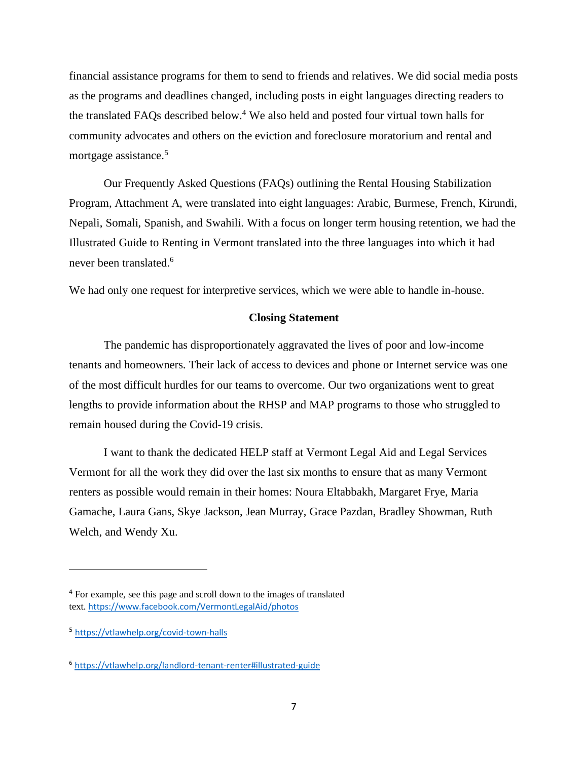financial assistance programs for them to send to friends and relatives. We did social media posts as the programs and deadlines changed, including posts in eight languages directing readers to the translated FAQs described below.<sup>4</sup> We also held and posted four virtual town halls for community advocates and others on the eviction and foreclosure moratorium and rental and mortgage assistance. 5

Our Frequently Asked Questions (FAQs) outlining the Rental Housing Stabilization Program, Attachment A, were translated into eight languages: Arabic, Burmese, French, Kirundi, Nepali, Somali, Spanish, and Swahili. With a focus on longer term housing retention, we had the Illustrated Guide to Renting in Vermont translated into the three languages into which it had never been translated.<sup>6</sup>

We had only one request for interpretive services, which we were able to handle in-house.

#### **Closing Statement**

The pandemic has disproportionately aggravated the lives of poor and low-income tenants and homeowners. Their lack of access to devices and phone or Internet service was one of the most difficult hurdles for our teams to overcome. Our two organizations went to great lengths to provide information about the RHSP and MAP programs to those who struggled to remain housed during the Covid-19 crisis.

I want to thank the dedicated HELP staff at Vermont Legal Aid and Legal Services Vermont for all the work they did over the last six months to ensure that as many Vermont renters as possible would remain in their homes: Noura Eltabbakh, Margaret Frye, Maria Gamache, Laura Gans, Skye Jackson, Jean Murray, Grace Pazdan, Bradley Showman, Ruth Welch, and Wendy Xu.

<sup>4</sup> For example, see this page and scroll down to the images of translated text. <https://www.facebook.com/VermontLegalAid/photos>

<sup>5</sup> <https://vtlawhelp.org/covid-town-halls>

<sup>6</sup> <https://vtlawhelp.org/landlord-tenant-renter#illustrated-guide>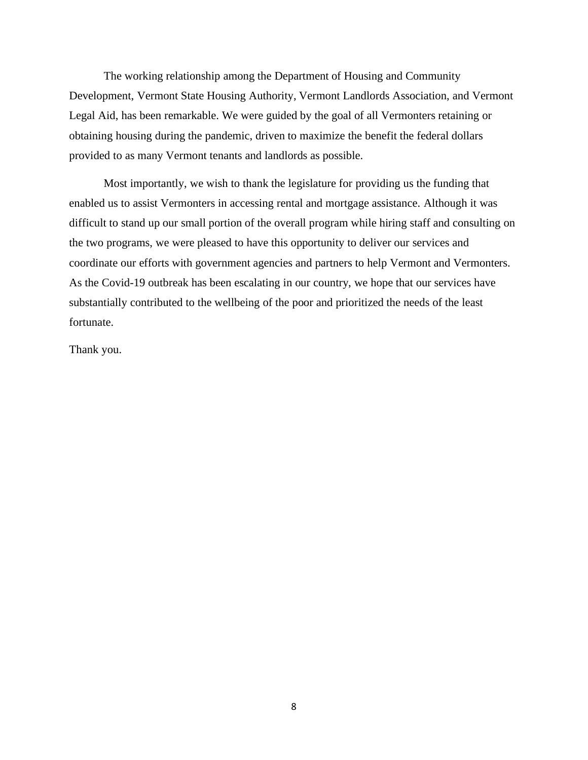The working relationship among the Department of Housing and Community Development, Vermont State Housing Authority, Vermont Landlords Association, and Vermont Legal Aid, has been remarkable. We were guided by the goal of all Vermonters retaining or obtaining housing during the pandemic, driven to maximize the benefit the federal dollars provided to as many Vermont tenants and landlords as possible.

Most importantly, we wish to thank the legislature for providing us the funding that enabled us to assist Vermonters in accessing rental and mortgage assistance. Although it was difficult to stand up our small portion of the overall program while hiring staff and consulting on the two programs, we were pleased to have this opportunity to deliver our services and coordinate our efforts with government agencies and partners to help Vermont and Vermonters. As the Covid-19 outbreak has been escalating in our country, we hope that our services have substantially contributed to the wellbeing of the poor and prioritized the needs of the least fortunate.

Thank you.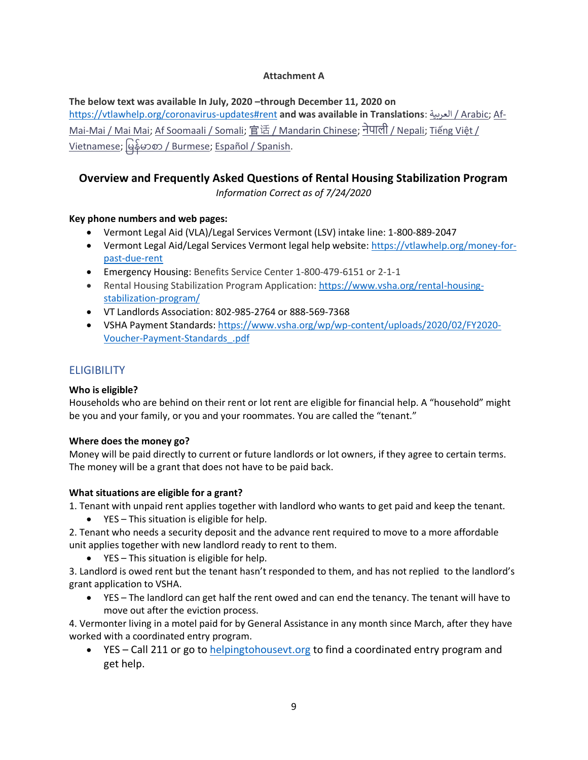#### **Attachment A**

**The below text was available In July, 2020 –through December 11, 2020 on** 

<https://vtlawhelp.org/coronavirus-updates#rent> **and was available in Translations**: العربية [/ Arabic;](https://vtlawhelp.org/money-for-past-due-rent#arabic) [Af-](https://vtlawhelp.org/money-for-past-due-rent#mai-mai)[Mai-Mai / Mai Mai;](https://vtlawhelp.org/money-for-past-due-rent#mai-mai) [Af Soomaali / Somali;](https://vtlawhelp.org/money-for-past-due-rent#somali) [官](https://vtlawhelp.org/money-for-past-due-rent#mandarin)话 [/ Mandarin Chinese;](https://vtlawhelp.org/money-for-past-due-rent#mandarin) [नेपाली](https://vtlawhelp.org/money-for-past-due-rent#nepali) / [Nepali;](https://vtlawhelp.org/money-for-past-due-rent#nepali) Tiế[ng Vi](https://vtlawhelp.org/money-for-past-due-rent#vietnamese)ệt / [Vietnamese;](https://vtlawhelp.org/money-for-past-due-rent#vietnamese) မြန်မာစာ [/ Burmese;](https://vtlawhelp.org/money-for-past-due-rent#burmese) [Español / Spanish.](https://vtlawhelp.org/money-for-past-due-rent#spanish)

## **Overview and Frequently Asked Questions of Rental Housing Stabilization Program**

*Information Correct as of 7/24/2020*

#### **Key phone numbers and web pages:**

- Vermont Legal Aid (VLA)/Legal Services Vermont (LSV) intake line: 1-800-889-2047
- Vermont Legal Aid/Legal Services Vermont legal help website: https://vtlawhelp.org/money-forpast-due-rent
- Emergency Housing: Benefits Service Center 1-800-479-6151 or 2-1-1
- Rental Housing Stabilization Program Application: [https://www.vsha.org/rental-housing](https://www.vsha.org/rental-housing-stabilization-program/)[stabilization-program/](https://www.vsha.org/rental-housing-stabilization-program/)
- VT Landlords Association: 802-985-2764 or 888-569-7368
- VSHA Payment Standards: [https://www.vsha.org/wp/wp-content/uploads/2020/02/FY2020-](https://www.vsha.org/wp/wp-content/uploads/2020/02/FY2020-Voucher-Payment-Standards_.pdf) [Voucher-Payment-Standards\\_.pdf](https://www.vsha.org/wp/wp-content/uploads/2020/02/FY2020-Voucher-Payment-Standards_.pdf)

#### **ELIGIBILITY**

#### **Who is eligible?**

Households who are behind on their rent or lot rent are eligible for financial help. A "household" might be you and your family, or you and your roommates. You are called the "tenant."

#### **Where does the money go?**

Money will be paid directly to current or future landlords or lot owners, if they agree to certain terms. The money will be a grant that does not have to be paid back.

#### **What situations are eligible for a grant?**

1. Tenant with unpaid rent applies together with landlord who wants to get paid and keep the tenant.

- YES This situation is eligible for help.
- 2. Tenant who needs a security deposit and the advance rent required to move to a more affordable unit applies together with new landlord ready to rent to them.
	- YES This situation is eligible for help.

3. Landlord is owed rent but the tenant hasn't responded to them, and has not replied to the landlord's grant application to VSHA.

• YES – The landlord can get half the rent owed and can end the tenancy. The tenant will have to move out after the eviction process.

4. Vermonter living in a motel paid for by General Assistance in any month since March, after they have worked with a coordinated entry program.

• YES – Call 211 or go to [helpingtohousevt.org](https://helpingtohousevt.org/) to find a coordinated entry program and get help.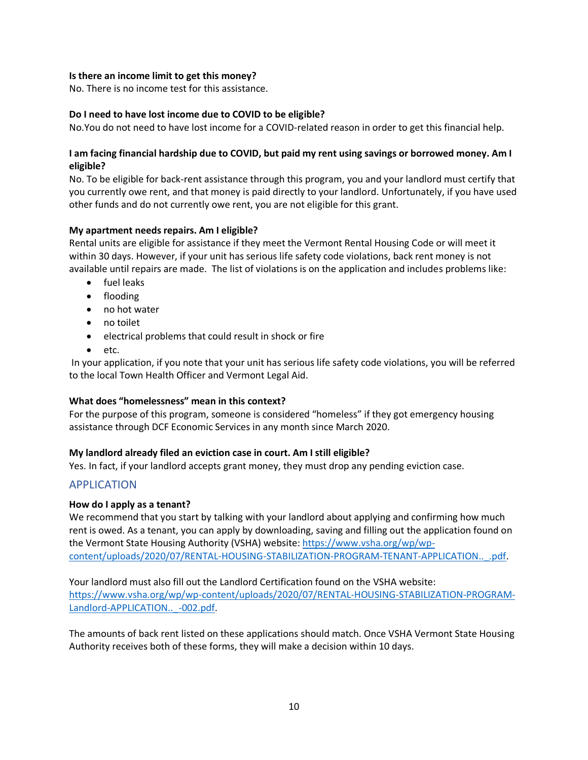#### **Is there an income limit to get this money?**

No. There is no income test for this assistance.

#### **Do I need to have lost income due to COVID to be eligible?**

No.You do not need to have lost income for a COVID-related reason in order to get this financial help.

#### **I am facing financial hardship due to COVID, but paid my rent using savings or borrowed money. Am I eligible?**

No. To be eligible for back-rent assistance through this program, you and your landlord must certify that you currently owe rent, and that money is paid directly to your landlord. Unfortunately, if you have used other funds and do not currently owe rent, you are not eligible for this grant.

#### **My apartment needs repairs. Am I eligible?**

Rental units are eligible for assistance if they meet the Vermont Rental Housing Code or will meet it within 30 days. However, if your unit has serious life safety code violations, back rent money is not available until repairs are made. The list of violations is on the application and includes problems like:

- fuel leaks
- flooding
- no hot water
- no toilet
- electrical problems that could result in shock or fire
- etc.

In your application, if you note that your unit has serious life safety code violations, you will be referred to the local Town Health Officer and Vermont Legal Aid.

#### **What does "homelessness" mean in this context?**

For the purpose of this program, someone is considered "homeless" if they got emergency housing assistance through DCF Economic Services in any month since March 2020.

#### **My landlord already filed an eviction case in court. Am I still eligible?**

Yes. In fact, if your landlord accepts grant money, they must drop any pending eviction case.

## APPLICATION

#### **How do I apply as a tenant?**

We recommend that you start by talking with your landlord about applying and confirming how much rent is owed. As a tenant, you can apply by downloading, saving and filling out the application found on the Vermont State Housing Authority (VSHA) website: [https://www.vsha.org/wp/wp](https://www.vsha.org/wp/wp-content/uploads/2020/07/RENTAL-HOUSING-STABILIZATION-PROGRAM-TENANT-APPLICATION.._.pdf)[content/uploads/2020/07/RENTAL-HOUSING-STABILIZATION-PROGRAM-TENANT-APPLICATION..\\_.pdf.](https://www.vsha.org/wp/wp-content/uploads/2020/07/RENTAL-HOUSING-STABILIZATION-PROGRAM-TENANT-APPLICATION.._.pdf)

Your landlord must also fill out the Landlord Certification found on the VSHA website: [https://www.vsha.org/wp/wp-content/uploads/2020/07/RENTAL-HOUSING-STABILIZATION-PROGRAM-](https://www.vsha.org/wp/wp-content/uploads/2020/07/RENTAL-HOUSING-STABILIZATION-PROGRAM-Landlord-APPLICATION.._-002.pdf)[Landlord-APPLICATION..\\_-002.pdf.](https://www.vsha.org/wp/wp-content/uploads/2020/07/RENTAL-HOUSING-STABILIZATION-PROGRAM-Landlord-APPLICATION.._-002.pdf)

The amounts of back rent listed on these applications should match. Once VSHA Vermont State Housing Authority receives both of these forms, they will make a decision within 10 days.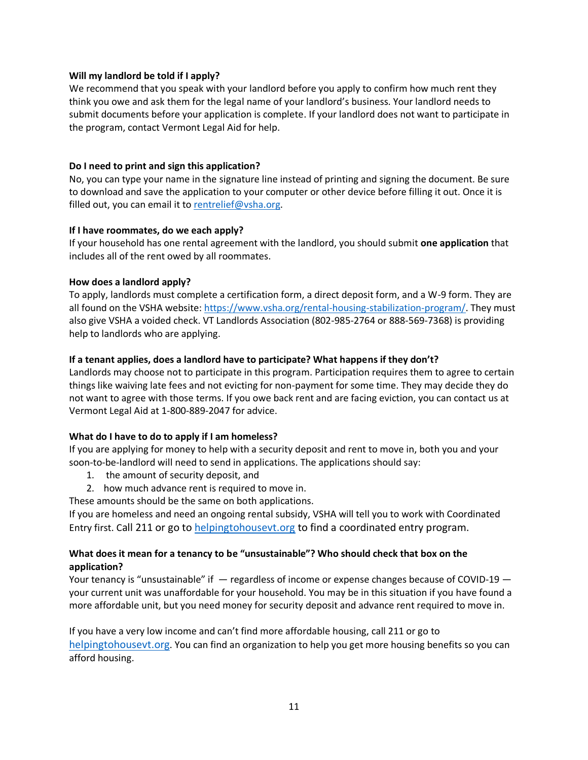#### **Will my landlord be told if I apply?**

We recommend that you speak with your landlord before you apply to confirm how much rent they think you owe and ask them for the legal name of your landlord's business. Your landlord needs to submit documents before your application is complete. If your landlord does not want to participate in the program, contact Vermont Legal Aid for help.

#### **Do I need to print and sign this application?**

No, you can type your name in the signature line instead of printing and signing the document. Be sure to download and save the application to your computer or other device before filling it out. Once it is filled out, you can email it to [rentrelief@vsha.org.](mailto:rentrelief@vsha.org)

#### **If I have roommates, do we each apply?**

If your household has one rental agreement with the landlord, you should submit **one application** that includes all of the rent owed by all roommates.

#### **How does a landlord apply?**

To apply, landlords must complete a certification form, a direct deposit form, and a W-9 form. They are all found on the VSHA website: [https://www.vsha.org/rental-housing-stabilization-program/.](https://www.vsha.org/rental-housing-stabilization-program/) They must also give VSHA a voided check. VT Landlords Association (802-985-2764 or 888-569-7368) is providing help to landlords who are applying.

#### **If a tenant applies, does a landlord have to participate? What happens if they don't?**

Landlords may choose not to participate in this program. Participation requires them to agree to certain things like waiving late fees and not evicting for non-payment for some time. They may decide they do not want to agree with those terms. If you owe back rent and are facing eviction, you can contact us at Vermont Legal Aid at 1-800-889-2047 for advice.

#### **What do I have to do to apply if I am homeless?**

If you are applying for money to help with a security deposit and rent to move in, both you and your soon-to-be-landlord will need to send in applications. The applications should say:

- 1. the amount of security deposit, and
- 2. how much advance rent is required to move in.
- These amounts should be the same on both applications.

If you are homeless and need an ongoing rental subsidy, VSHA will tell you to work with Coordinated Entry first. Call 211 or go to [helpingtohousevt.org](https://helpingtohousevt.org/) to find a coordinated entry program.

#### **What does it mean for a tenancy to be "unsustainable"? Who should check that box on the application?**

Your tenancy is "unsustainable" if  $-$  regardless of income or expense changes because of COVID-19  $$ your current unit was unaffordable for your household. You may be in this situation if you have found a more affordable unit, but you need money for security deposit and advance rent required to move in.

If you have a very low income and can't find more affordable housing, call 211 or go to [helpingtohousevt.org](https://helpingtohousevt.org/). You can find an organization to help you get more housing benefits so you can afford housing.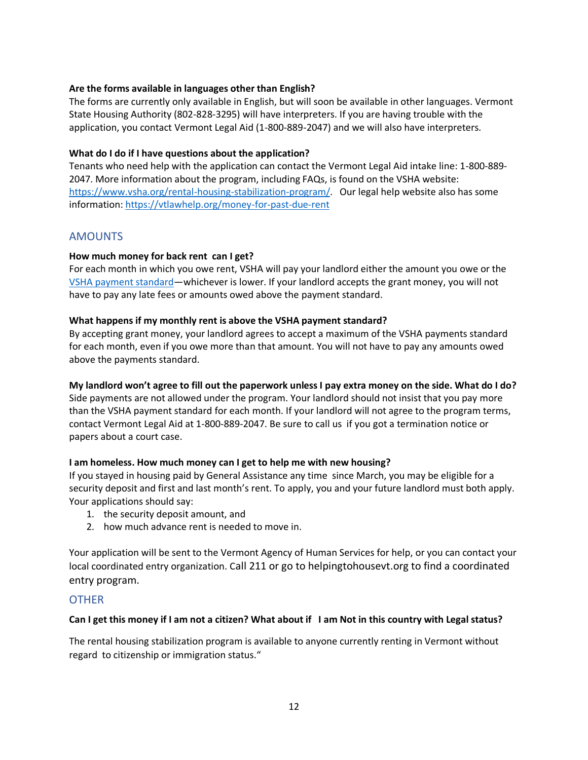#### **Are the forms available in languages other than English?**

The forms are currently only available in English, but will soon be available in other languages. Vermont State Housing Authority (802-828-3295) will have interpreters. If you are having trouble with the application, you contact Vermont Legal Aid (1-800-889-2047) and we will also have interpreters.

#### **What do I do if I have questions about the application?**

Tenants who need help with the application can contact the Vermont Legal Aid intake line: 1-800-889- 2047. More information about the program, including FAQs, is found on the VSHA website: [https://www.vsha.org/rental-housing-stabilization-program/.](https://www.vsha.org/rental-housing-stabilization-program/) Our legal help website also has some information: https://vtlawhelp.org/money-for-past-due-rent

#### AMOUNTS

#### **How much money for back rent can I get?**

For each month in which you owe rent, VSHA will pay your landlord either the amount you owe or the [VSHA payment standard](https://www.vsha.org/wp/wp-content/uploads/2020/02/FY2020-Voucher-Payment-Standards_.pdf)—whichever is lower. If your landlord accepts the grant money, you will not have to pay any late fees or amounts owed above the payment standard.

#### **What happens if my monthly rent is above the VSHA payment standard?**

By accepting grant money, your landlord agrees to accept a maximum of the VSHA payments standard for each month, even if you owe more than that amount. You will not have to pay any amounts owed above the payments standard.

#### **My landlord won't agree to fill out the paperwork unless I pay extra money on the side. What do I do?**

Side payments are not allowed under the program. Your landlord should not insist that you pay more than the VSHA payment standard for each month. If your landlord will not agree to the program terms, contact Vermont Legal Aid at 1-800-889-2047. Be sure to call us if you got a termination notice or papers about a court case.

#### **I am homeless. How much money can I get to help me with new housing?**

If you stayed in housing paid by General Assistance any time since March, you may be eligible for a security deposit and first and last month's rent. To apply, you and your future landlord must both apply. Your applications should say:

- 1. the security deposit amount, and
- 2. how much advance rent is needed to move in.

Your application will be sent to the Vermont Agency of Human Services for help, or you can contact your local coordinated entry organization. Call 211 or go to helpingtohousevt.org to find a coordinated entry program.

#### **OTHER**

#### **Can I get this money if I am not a citizen? What about if I am Not in this country with Legal status?**

The rental housing stabilization program is available to anyone currently renting in Vermont without regard to citizenship or immigration status."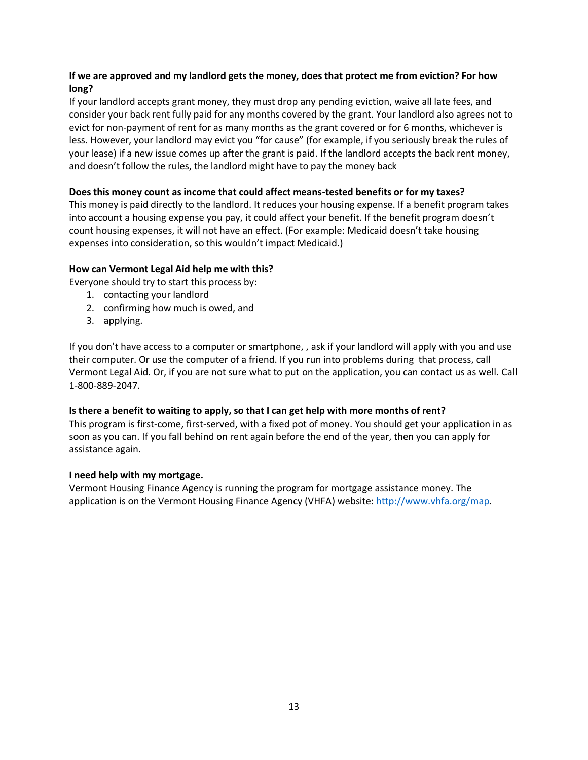#### **If we are approved and my landlord gets the money, does that protect me from eviction? For how long?**

If your landlord accepts grant money, they must drop any pending eviction, waive all late fees, and consider your back rent fully paid for any months covered by the grant. Your landlord also agrees not to evict for non-payment of rent for as many months as the grant covered or for 6 months, whichever is less. However, your landlord may evict you "for cause" (for example, if you seriously break the rules of your lease) if a new issue comes up after the grant is paid. If the landlord accepts the back rent money, and doesn't follow the rules, the landlord might have to pay the money back

#### **Does this money count as income that could affect means-tested benefits or for my taxes?**

This money is paid directly to the landlord. It reduces your housing expense. If a benefit program takes into account a housing expense you pay, it could affect your benefit. If the benefit program doesn't count housing expenses, it will not have an effect. (For example: Medicaid doesn't take housing expenses into consideration, so this wouldn't impact Medicaid.)

#### **How can Vermont Legal Aid help me with this?**

Everyone should try to start this process by:

- 1. contacting your landlord
- 2. confirming how much is owed, and
- 3. applying.

If you don't have access to a computer or smartphone, , ask if your landlord will apply with you and use their computer. Or use the computer of a friend. If you run into problems during that process, call Vermont Legal Aid. Or, if you are not sure what to put on the application, you can contact us as well. Call 1-800-889-2047.

#### **Is there a benefit to waiting to apply, so that I can get help with more months of rent?**

This program is first-come, first-served, with a fixed pot of money. You should get your application in as soon as you can. If you fall behind on rent again before the end of the year, then you can apply for assistance again.

#### **I need help with my mortgage.**

Vermont Housing Finance Agency is running the program for mortgage assistance money. The application is on the Vermont Housing Finance Agency (VHFA) website: [http://www.vhfa.org/map.](http://www.vhfa.org/map)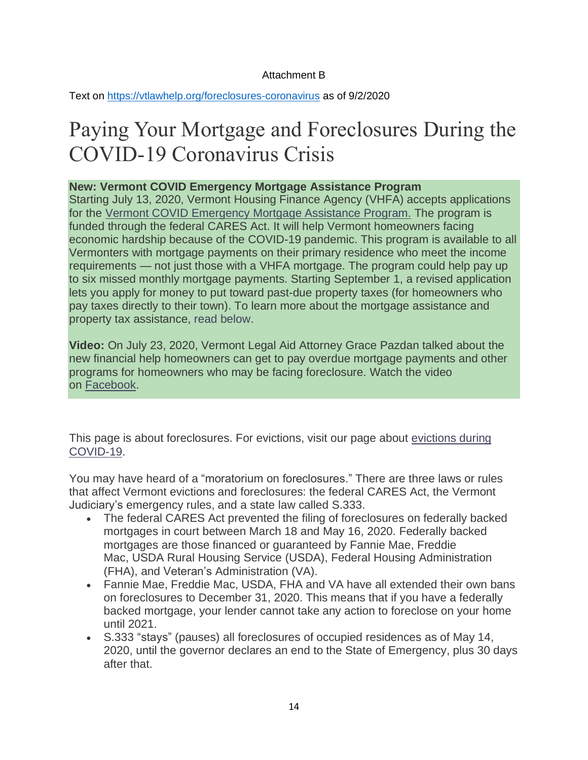## Attachment B

Text on<https://vtlawhelp.org/foreclosures-coronavirus> as of 9/2/2020

# Paying Your Mortgage and Foreclosures During the COVID-19 Coronavirus Crisis

## **New: Vermont COVID Emergency Mortgage Assistance Program**

Starting July 13, 2020, Vermont Housing Finance Agency (VHFA) accepts applications for the Vermont COVID [Emergency](https://www.vhfa.org/map/) Mortgage Assistance Program. The program is funded through the federal CARES Act. It will help Vermont homeowners facing economic hardship because of the COVID-19 pandemic. This program is available to all Vermonters with mortgage payments on their primary residence who meet the income requirements — not just those with a VHFA mortgage. The program could help pay up to six missed monthly mortgage payments. Starting September 1, a revised application lets you apply for money to put toward past-due property taxes (for homeowners who pay taxes directly to their town). To learn more about the mortgage assistance and property tax assistance, read below.

**Video:** On July 23, 2020, Vermont Legal Aid Attorney Grace Pazdan talked about the new financial help homeowners can get to pay overdue mortgage payments and other programs for homeowners who may be facing foreclosure. Watch the video on [Facebook.](https://www.facebook.com/VermontLegalAid/videos/1201597143575570)

This page is about foreclosures. For evictions, visit our page about [evictions](https://vtlawhelp.org/eviction-vermont-covid-19) during [COVID-19.](https://vtlawhelp.org/eviction-vermont-covid-19)

You may have heard of a "moratorium on foreclosures." There are three laws or rules that affect Vermont evictions and foreclosures: the federal CARES Act, the Vermont Judiciary's emergency rules, and a state law called S.333.

- The federal CARES Act prevented the filing of foreclosures on federally backed mortgages in court between March 18 and May 16, 2020. Federally backed mortgages are those financed or guaranteed by Fannie Mae, Freddie Mac, USDA Rural Housing Service (USDA), Federal Housing Administration (FHA), and Veteran's Administration (VA).
- Fannie Mae, Freddie Mac, USDA, FHA and VA have all extended their own bans on foreclosures to December 31, 2020. This means that if you have a federally backed mortgage, your lender cannot take any action to foreclose on your home until 2021.
- S.333 "stays" (pauses) all foreclosures of occupied residences as of May 14, 2020, until the governor declares an end to the State of Emergency, plus 30 days after that.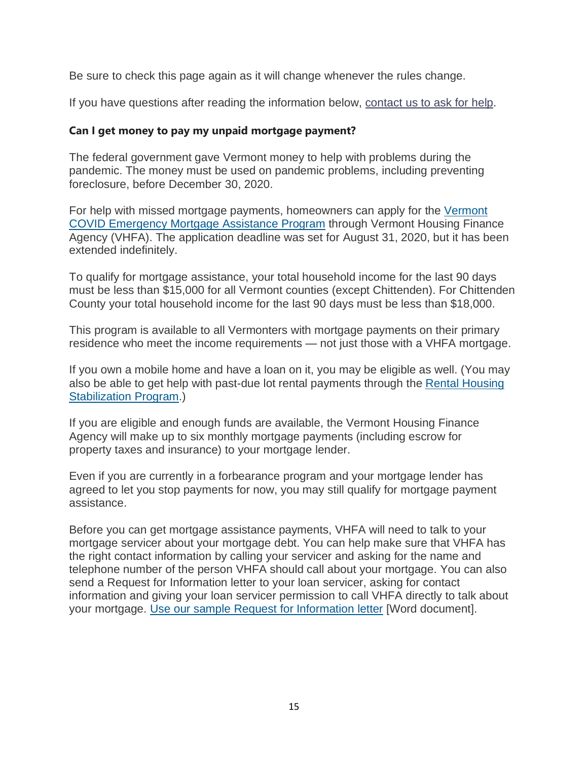Be sure to check this page again as it will change whenever the rules change.

If you have questions after reading the information below, [contact](https://vtlawhelp.org/how-we-can-help) us to ask for help.

## **Can I get money to pay my unpaid mortgage payment?**

The federal government gave Vermont money to help with problems during the pandemic. The money must be used on pandemic problems, including preventing foreclosure, before December 30, 2020.

For help with missed mortgage payments, homeowners can apply for the [Vermont](https://www.vhfa.org/map/) COVID [Emergency](https://www.vhfa.org/map/) Mortgage Assistance Program through Vermont Housing Finance Agency (VHFA). The application deadline was set for August 31, 2020, but it has been extended indefinitely.

To qualify for mortgage assistance, your total household income for the last 90 days must be less than \$15,000 for all Vermont counties (except Chittenden). For Chittenden County your total household income for the last 90 days must be less than \$18,000.

This program is available to all Vermonters with mortgage payments on their primary residence who meet the income requirements — not just those with a VHFA mortgage.

If you own a mobile home and have a loan on it, you may be eligible as well. (You may also be able to get help with past-due lot rental payments through the Rental [Housing](https://vtlawhelp.org/money-for-past-due-rent) [Stabilization](https://vtlawhelp.org/money-for-past-due-rent) Program.)

If you are eligible and enough funds are available, the Vermont Housing Finance Agency will make up to six monthly mortgage payments (including escrow for property taxes and insurance) to your mortgage lender.

Even if you are currently in a forbearance program and your mortgage lender has agreed to let you stop payments for now, you may still qualify for mortgage payment assistance.

Before you can get mortgage assistance payments, VHFA will need to talk to your mortgage servicer about your mortgage debt. You can help make sure that VHFA has the right contact information by calling your servicer and asking for the name and telephone number of the person VHFA should call about your mortgage. You can also send a Request for Information letter to your loan servicer, asking for contact information and giving your loan servicer permission to call VHFA directly to talk about your mortgage. Use our sample Request for [Information](https://vtlawhelp.org/sites/default/files/sample-RFI-for-mortgage-contact.docx) letter [Word document].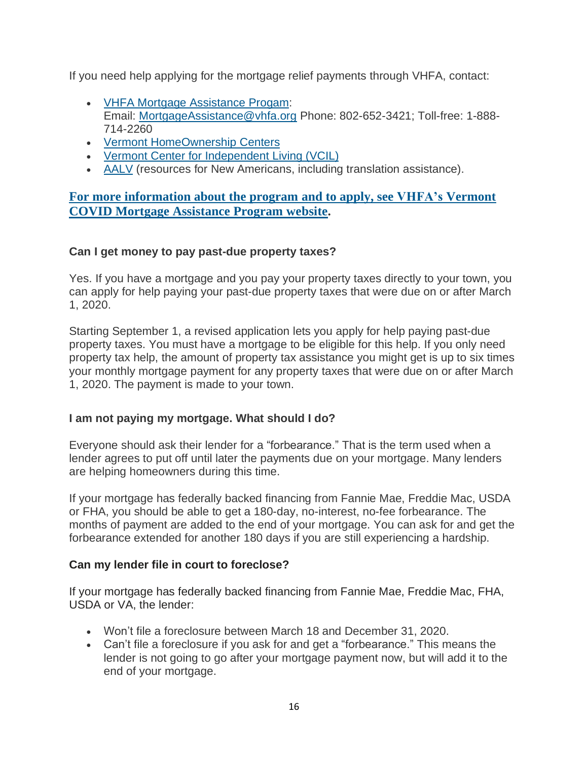If you need help applying for the mortgage relief payments through VHFA, contact:

- VHFA Mortgage [Assistance](https://www.vhfa.org/map/) Progam: Email: [MortgageAssistance@vhfa.org](mailto:MortgageAssistance@vhfa.org) Phone: 802-652-3421; Toll-free: 1-888- 714-2260
- Vermont [HomeOwnership](http://www.vthomeownership.org/) Centers
- Vermont Center for [Independent](http://www.vcil.org/) Living (VCIL)
- [AALV](https://www.aalv-vt.org/) (resources for New Americans, including translation assistance).

## **For more [information](https://www.vhfa.org/map/) about the program and to apply, see VHFA's Vermont COVID Mortgage [Assistance](https://www.vhfa.org/map/) Program website.**

## **Can I get money to pay past-due property taxes?**

Yes. If you have a mortgage and you pay your property taxes directly to your town, you can apply for help paying your past-due property taxes that were due on or after March 1, 2020.

Starting September 1, a revised application lets you apply for help paying past-due property taxes. You must have a mortgage to be eligible for this help. If you only need property tax help, the amount of property tax assistance you might get is up to six times your monthly mortgage payment for any property taxes that were due on or after March 1, 2020. The payment is made to your town.

## **I am not paying my mortgage. What should I do?**

Everyone should ask their lender for a "forbearance." That is the term used when a lender agrees to put off until later the payments due on your mortgage. Many lenders are helping homeowners during this time.

If your mortgage has federally backed financing from Fannie Mae, Freddie Mac, USDA or FHA, you should be able to get a 180-day, no-interest, no-fee forbearance. The months of payment are added to the end of your mortgage. You can ask for and get the forbearance extended for another 180 days if you are still experiencing a hardship.

## **Can my lender file in court to foreclose?**

If your mortgage has federally backed financing from Fannie Mae, Freddie Mac, FHA, USDA or VA, the lender:

- Won't file a foreclosure between March 18 and December 31, 2020.
- Can't file a foreclosure if you ask for and get a "forbearance." This means the lender is not going to go after your mortgage payment now, but will add it to the end of your mortgage.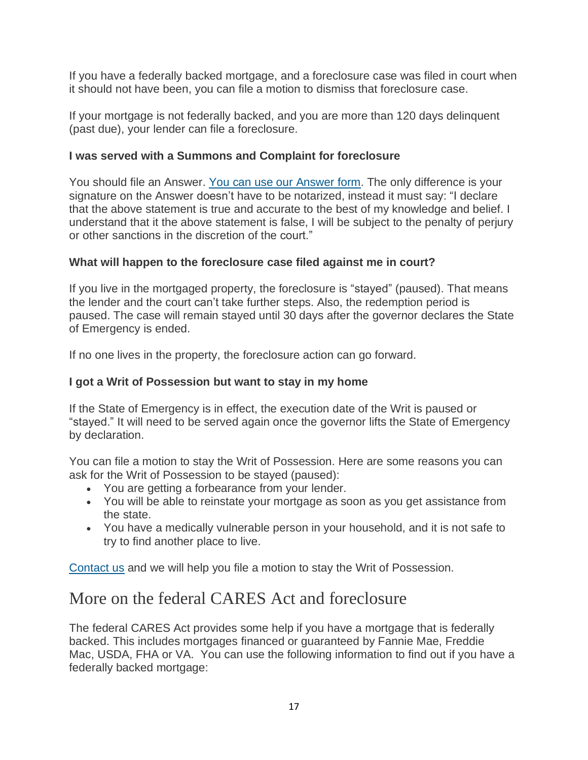If you have a federally backed mortgage, and a foreclosure case was filed in court when it should not have been, you can file a motion to dismiss that foreclosure case.

If your mortgage is not federally backed, and you are more than 120 days delinquent (past due), your lender can file a foreclosure.

## **I was served with a Summons and Complaint for foreclosure**

You should file an [Answer](https://vtlawhelp.org/foreclosure-process-vermont#answer). You can use our Answer form. The only difference is your signature on the Answer doesn't have to be notarized, instead it must say: "I declare that the above statement is true and accurate to the best of my knowledge and belief. I understand that it the above statement is false, I will be subject to the penalty of perjury or other sanctions in the discretion of the court."

## **What will happen to the foreclosure case filed against me in court?**

If you live in the mortgaged property, the foreclosure is "stayed" (paused). That means the lender and the court can't take further steps. Also, the redemption period is paused. The case will remain stayed until 30 days after the governor declares the State of Emergency is ended.

If no one lives in the property, the foreclosure action can go forward.

## **I got a Writ of Possession but want to stay in my home**

If the State of Emergency is in effect, the execution date of the Writ is paused or "stayed." It will need to be served again once the governor lifts the State of Emergency by declaration.

You can file a motion to stay the Writ of Possession. Here are some reasons you can ask for the Writ of Possession to be stayed (paused):

- You are getting a forbearance from your lender.
- You will be able to reinstate your mortgage as soon as you get assistance from the state.
- You have a medically vulnerable person in your household, and it is not safe to try to find another place to live.

[Contact](https://vtlawhelp.org/how-we-can-help) us and we will help you file a motion to stay the Writ of Possession.

## More on the federal CARES Act and foreclosure

The federal CARES Act provides some help if you have a mortgage that is federally backed. This includes mortgages financed or guaranteed by Fannie Mae, Freddie Mac, USDA, FHA or VA. You can use the following information to find out if you have a federally backed mortgage: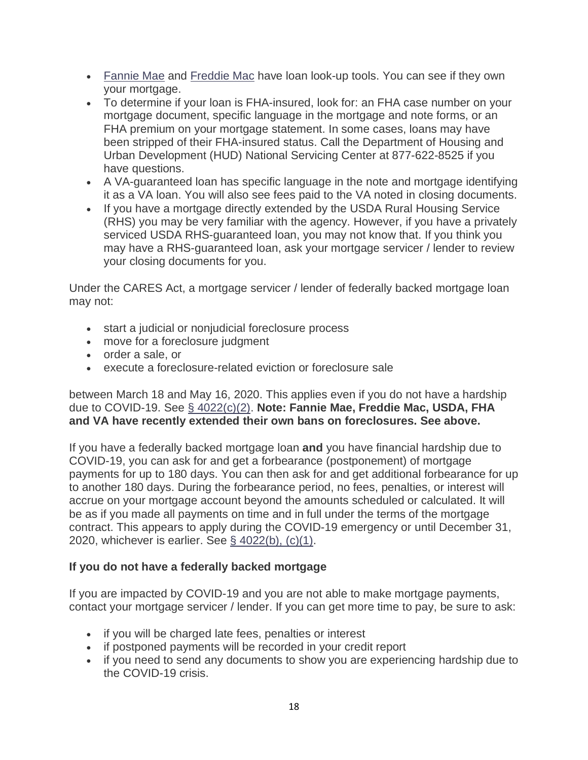- Fannie Mae and [Freddie](https://ww3.freddiemac.com/loanlookup/) Mac have loan look-up tools. You can see if they own your [mortgag](https://www.knowyouroptions.com/loanlookup)e.
- To determine if your loan is FHA-insured, look for: an FHA case number on your mortgage document, specific language in the mortgage and note forms, or an FHA premium on your mortgage statement. In some cases, loans may have been stripped of their FHA-insured status. Call the Department of Housing and Urban Development (HUD) National Servicing Center at 877-622-8525 if you have questions.
- A VA-guaranteed loan has specific language in the note and mortgage identifying it as a VA loan. You will also see fees paid to the VA noted in closing documents.
- If you have a mortgage directly extended by the USDA Rural Housing Service (RHS) you may be very familiar with the agency. However, if you have a privately serviced USDA RHS-guaranteed loan, you may not know that. If you think you may have a RHS-guaranteed loan, ask your mortgage servicer / lender to review your closing documents for you.

Under the CARES Act, a mortgage servicer / lender of federally backed mortgage loan may not:

- start a judicial or nonjudicial foreclosure process
- move for a foreclosure judgment
- order a sale, or
- execute a foreclosure-related eviction or foreclosure sale

between March 18 and May 16, 2020. This applies even if you do not have a hardship due to COVID-19. See § [4022\(c\)\(2\).](https://library.nclc.org/sec-4022-foreclosure-moratorium-and-consumer-right-request-forbearance) **Note: Fannie Mae, Freddie Mac, USDA, FHA and VA have recently extended their own bans on foreclosures. See above.**

If you have a federally backed mortgage loan **and** you have financial hardship due to COVID-19, you can ask for and get a forbearance (postponement) of mortgage payments for up to 180 days. You can then ask for and get additional forbearance for up to another 180 days. During the forbearance period, no fees, penalties, or interest will accrue on your mortgage account beyond the amounts scheduled or calculated. It will be as if you made all payments on time and in full under the terms of the mortgage contract. This appears to apply during the COVID-19 emergency or until December 31, 2020, whichever is earlier. See § [4022\(b\),](https://library.nclc.org/sec-4022-foreclosure-moratorium-and-consumer-right-request-forbearance) (c)(1).

## **If you do not have a federally backed mortgage**

If you are impacted by COVID-19 and you are not able to make mortgage payments, contact your mortgage servicer / lender. If you can get more time to pay, be sure to ask:

- if you will be charged late fees, penalties or interest
- if postponed payments will be recorded in your credit report
- if you need to send any documents to show you are experiencing hardship due to the COVID-19 crisis.